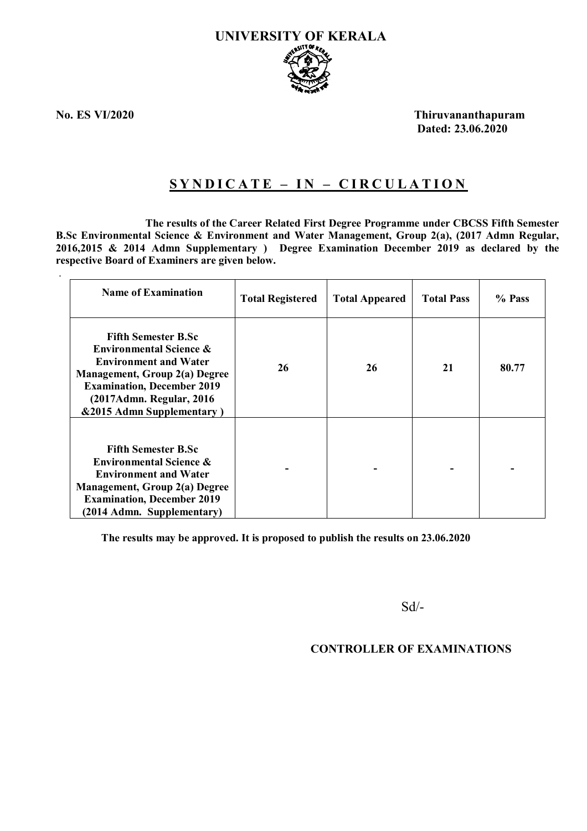

.

**No. ES VI/2020 Thiruvananthapuram Dated: 23.06.2020**

# **S Y N D I C A T E – I N – C I R C U L A T I O N**

 **The results of the Career Related First Degree Programme under CBCSS Fifth Semester B.Sc Environmental Science & Environment and Water Management, Group 2(a), (2017 Admn Regular, 2016,2015 & 2014 Admn Supplementary ) Degree Examination December 2019 as declared by the respective Board of Examiners are given below.**

| <b>Name of Examination</b>                                                                                                                                                                                                               | <b>Total Registered</b> | <b>Total Appeared</b> | <b>Total Pass</b> | % Pass |
|------------------------------------------------------------------------------------------------------------------------------------------------------------------------------------------------------------------------------------------|-------------------------|-----------------------|-------------------|--------|
| <b>Fifth Semester B.Sc.</b><br><b>Environmental Science &amp;</b><br><b>Environment and Water</b><br><b>Management, Group 2(a) Degree</b><br><b>Examination, December 2019</b><br>(2017Admn. Regular, 2016)<br>&2015 Admn Supplementary) | 26                      | 26                    | 21                | 80.77  |
| <b>Fifth Semester B.Sc</b><br><b>Environmental Science &amp;</b><br><b>Environment and Water</b><br><b>Management, Group 2(a) Degree</b><br><b>Examination, December 2019</b><br>(2014 Admn. Supplementary)                              |                         |                       |                   |        |

**The results may be approved. It is proposed to publish the results on 23.06.2020**

Sd/-

# **CONTROLLER OF EXAMINATIONS**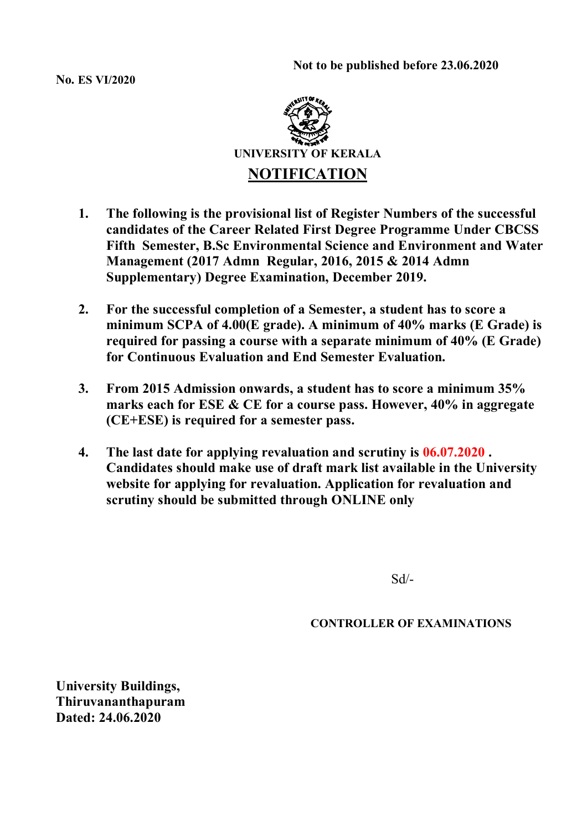**Not to be published before 23.06.2020**

**No. ES VI/2020**



- **1. The following is the provisional list of Register Numbers of the successful candidates of the Career Related First Degree Programme Under CBCSS Fifth Semester, B.Sc Environmental Science and Environment and Water Management (2017 Admn Regular, 2016, 2015 & 2014 Admn Supplementary) Degree Examination, December 2019.**
- **2. For the successful completion of a Semester, a student has to score a minimum SCPA of 4.00(E grade). A minimum of 40% marks (E Grade) is required for passing a course with a separate minimum of 40% (E Grade) for Continuous Evaluation and End Semester Evaluation.**
- **3. From 2015 Admission onwards, a student has to score a minimum 35% marks each for ESE & CE for a course pass. However, 40% in aggregate (CE+ESE) is required for a semester pass.**
- **4. The last date for applying revaluation and scrutiny is 06.07.2020 . Candidates should make use of draft mark list available in the University website for applying for revaluation. Application for revaluation and scrutiny should be submitted through ONLINE only**

Sd/-

**CONTROLLER OF EXAMINATIONS**

**University Buildings, Thiruvananthapuram Dated: 24.06.2020**